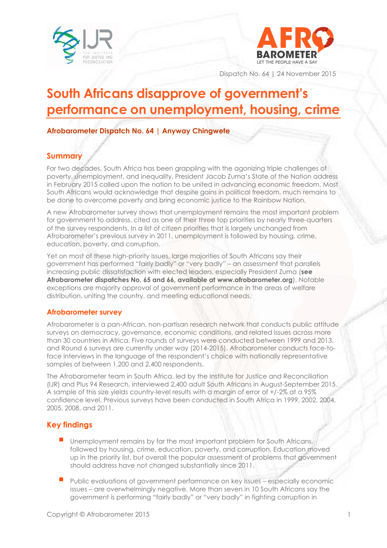



Dispatch No. 64 | 24 November 2015

# **South Africans disapprove of government's performance on unemployment, housing, crime**

## **Afrobarometer Dispatch No. 64 | Anyway Chingwete**

## **Summary**

For two decades, South Africa has been grappling with the agonizing triple challenges of poverty, unemployment, and inequality. President Jacob Zuma's State of the Nation address in February 2015 called upon the nation to be united in advancing economic freedom. Most South Africans would acknowledge that despite gains in political freedom, much remains to be done to overcome poverty and bring economic justice to the Rainbow Nation.

A new Afrobarometer survey shows that unemployment remains the most important problem for government to address, cited as one of their three top priorities by nearly three-quarters of the survey respondents. In a list of citizen priorities that is largely unchanged from Afrobarometer's previous survey in 2011, unemployment is followed by housing, crime, education, poverty, and corruption.

Yet on most of these high-priority issues, large majorities of South Africans say their government has performed "fairly badly" or "very badly" – an assessment that parallels increasing public dissatisfaction with elected leaders, especially President Zuma (**see Afrobarometer dispatches No. 65 and 66, available at [www.afrobarometer.org](http://www.afrobarometer.org/)**). Notable exceptions are majority approval of government performance in the areas of welfare distribution, uniting the country, and meeting educational needs.

#### **Afrobarometer survey**

Afrobarometer is a pan-African, non-partisan research network that conducts public attitude surveys on democracy, governance, economic conditions, and related issues across more than 30 countries in Africa. Five rounds of surveys were conducted between 1999 and 2013, and Round 6 surveys are currently under way (2014-2015). Afrobarometer conducts face-toface interviews in the language of the respondent's choice with nationally representative samples of between 1,200 and 2,400 respondents.

The Afrobarometer team in South Africa, led by the Institute for Justice and Reconciliation (IJR) and Plus 94 Research, interviewed 2,400 adult South Africans in August-September 2015. A sample of this size yields country-level results with a margin of error of +/-2% at a 95% confidence level. Previous surveys have been conducted in South Africa in 1999, 2002, 2004, 2005, 2008, and 2011.

## **Key findings**

- Unemployment remains by far the most important problem for South Africans, followed by housing, crime, education, poverty, and corruption. Education moved up in the priority list, but overall the popular assessment of problems that government should address have not changed substantially since 2011.
- Public evaluations of government performance on key issues especially economic issues – are overwhelmingly negative. More than seven in 10 South Africans say the government is performing "fairly badly" or "very badly" in fighting corruption in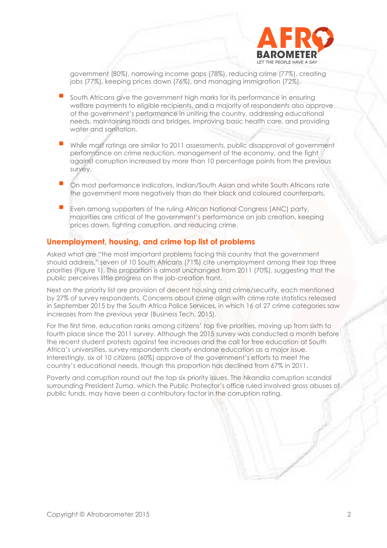

government (80%), narrowing income gaps (78%), reducing crime (77%), creating jobs (77%), keeping prices down (76%), and managing immigration (72%).

- South Africans give the government high marks for its performance in ensuring welfare payments to eligible recipients, and a majority of respondents also approve of the government's performance in uniting the country, addressing educational needs, maintaining roads and bridges, improving basic health care, and providing water and sanitation.
- While most ratings are similar to 2011 assessments, public disapproval of government performance on crime reduction, management of the economy, and the fight against corruption increased by more than 10 percentage points from the previous survey.
- On most performance indicators, Indian/South Asian and white South Africans rate the government more negatively than do their black and coloured counterparts.
- Even among supporters of the ruling African National Congress (ANC) party, majorities are critical of the government's performance on job creation, keeping prices down, fighting corruption, and reducing crime.

#### **Unemployment, housing, and crime top list of problems**

Asked what are "the most important problems facing this country that the government should address," seven of 10 South Africans (71%) cite unemployment among their top three priorities (Figure 1). This proportion is almost unchanged from 2011 (70%), suggesting that the public perceives little progress on the job-creation front.

Next on the priority list are provision of decent housing and crime/security, each mentioned by 27% of survey respondents. Concerns about crime align with crime rate statistics released in September 2015 by the South Africa Police Services, in which 16 of 27 crime categories saw increases from the previous year (Business Tech, 2015).

For the first time, education ranks among citizens' top five priorities, moving up from sixth to fourth place since the 2011 survey. Although the 2015 survey was conducted a month before the recent student protests against fee increases and the call for free education at South Africa's universities, survey respondents clearly endorse education as a major issue. Interestingly, six of 10 citizens (60%) approve of the government's efforts to meet the country's educational needs, though this proportion has declined from 67% in 2011.

Poverty and corruption round out the top six priority issues. The Nkandla corruption scandal surrounding President Zuma, which the Public Protector's office ruled involved gross abuses of public funds, may have been a contributory factor in the corruption rating.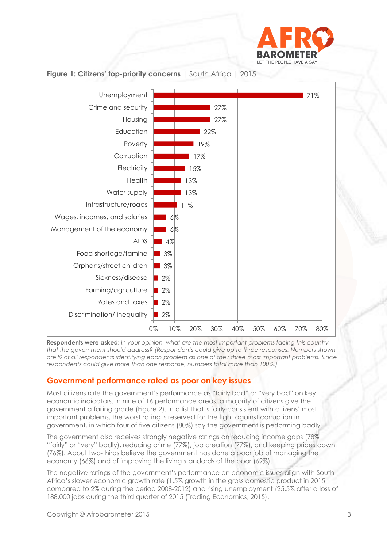



#### **Figure 1: Citizens' top-priority concerns** | South Africa | 2015

**Respondents were asked:** *In your opinion, what are the most important problems facing this country that the government should address? (Respondents could give up to three responses. Numbers shown are % of all respondents identifying each problem as one of their three most important problems. Since respondents could give more than one response, numbers total more than 100%.)*

#### **Government performance rated as poor on key issues**

Most citizens rate the government's performance as "fairly bad" or "very bad" on key economic indicators. In nine of 16 performance areas, a majority of citizens give the government a failing grade (Figure 2). In a list that is fairly consistent with citizens' most important problems, the worst rating is reserved for the fight against corruption in government, in which four of five citizens (80%) say the government is performing badly.

The government also receives strongly negative ratings on reducing income gaps (78% "fairly" or "very" badly), reducing crime (77%), job creation (77%), and keeping prices down (76%). About two-thirds believe the government has done a poor job of managing the economy (66%) and of improving the living standards of the poor (69%).

The negative ratings of the government's performance on economic issues align with South Africa's slower economic growth rate (1.5% growth in the gross domestic product in 2015 compared to 2% during the period 2008-2012) and rising unemployment (25.5% after a loss of 188,000 jobs during the third quarter of 2015 (Trading Economics, 2015).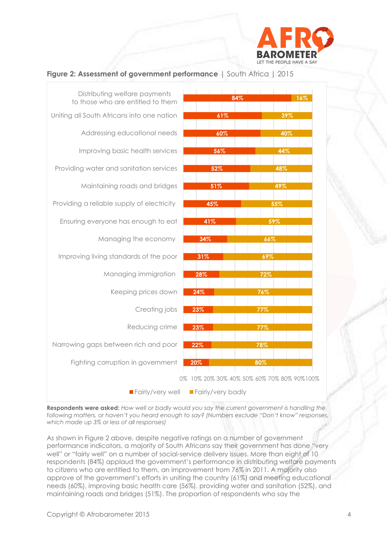

#### **Figure 2: Assessment of government performance** | South Africa | 2015



**Respondents were asked:** *How well or badly would you say the current government is handling the following matters, or haven't you heard enough to say? (Numbers exclude "Don't know" responses, which made up 3% or less of all responses)*

As shown in Figure 2 above, despite negative ratings on a number of government performance indicators, a majority of South Africans say their government has done "very well" or "fairly well" on a number of social-service delivery issues. More than eight of 10 respondents (84%) applaud the government's performance in distributing welfare payments to citizens who are entitled to them, an improvement from 76% in 2011. A majority also approve of the government's efforts in uniting the country (61%) and meeting educational needs (60%), improving basic health care (56%), providing water and sanitation (52%), and maintaining roads and bridges (51%). The proportion of respondents who say the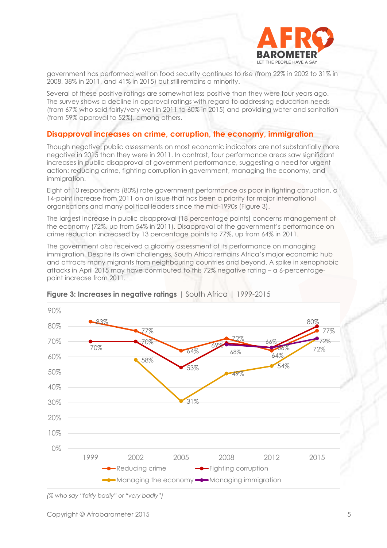

government has performed well on food security continues to rise (from 22% in 2002 to 31% in 2008, 38% in 2011, and 41% in 2015) but still remains a minority.

Several of these positive ratings are somewhat less positive than they were four years ago. The survey shows a decline in approval ratings with regard to addressing education needs (from 67% who said fairly/very well in 2011 to 60% in 2015) and providing water and sanitation (from 59% approval to 52%), among others.

#### **Disapproval increases on crime, corruption, the economy, immigration**

Though negative, public assessments on most economic indicators are not substantially more negative in 2015 than they were in 2011. In contrast, four performance areas saw significant increases in public disapproval of government performance, suggesting a need for urgent action: reducing crime, fighting corruption in government, managing the economy, and immigration.

Eight of 10 respondents (80%) rate government performance as poor in fighting corruption, a 14-point increase from 2011 on an issue that has been a priority for major international organisations and many political leaders since the mid-1990s (Figure 3).

The largest increase in public disapproval (18 percentage points) concerns management of the economy (72%, up from 54% in 2011). Disapproval of the government's performance on crime reduction increased by 13 percentage points to 77%, up from 64% in 2011.

The government also received a gloomy assessment of its performance on managing immigration. Despite its own challenges, South Africa remains Africa's major economic hub and attracts many migrants from neighbouring countries and beyond. A spike in xenophobic attacks in April 2015 may have contributed to this 72% negative rating – a 6-percentagepoint increase from 2011.



#### **Figure 3: Increases in negative ratings** I South Africa 1 1999-2015

*<sup>(%</sup> who say "fairly badly" or "very badly")*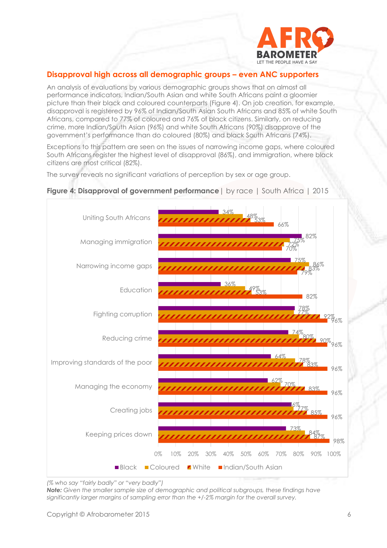

# **Disapproval high across all demographic groups – even ANC supporters**

An analysis of evaluations by various demographic groups shows that on almost all performance indicators, Indian/South Asian and white South Africans paint a gloomier picture than their black and coloured counterparts (Figure 4). On job creation, for example, disapproval is registered by 96% of Indian/South Asian South Africans and 85% of white South Africans, compared to 77% of coloured and 76% of black citizens. Similarly, on reducing crime, more Indian/South Asian (96%) and white South Africans (90%) disapprove of the government's performance than do coloured (80%) and black South Africans (74%).

Exceptions to this pattern are seen on the issues of narrowing income gaps, where coloured South Africans register the highest level of disapproval (86%), and immigration, where black citizens are most critical (82%).

The survey reveals no significant variations of perception by sex or age group.



## **Figure 4: Disapproval of government performance**| by race | South Africa | 2015

*Note: Given the smaller sample size of demographic and political subgroups, these findings have significantly larger margins of sampling error than the +/-2% margin for the overall survey.*

*<sup>(%</sup> who say "fairly badly" or "very badly")*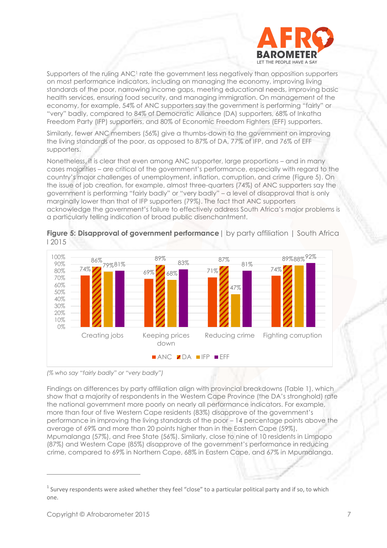

Supporters of the ruling ANC<sup>1</sup> rate the government less negatively than opposition supporters on most performance indicators, including on managing the economy, improving living standards of the poor, narrowing income gaps, meeting educational needs, improving basic health services, ensuring food security, and managing immigration. On management of the economy, for example, 54% of ANC supporters say the government is performing "fairly" or "very" badly, compared to 84% of Democratic Alliance (DA) supporters, 68% of Inkatha Freedom Party (IFP) supporters, and 80% of Economic Freedom Fighters (EFF) supporters.

Similarly, fewer ANC members (56%) give a thumbs-down to the government on improving the living standards of the poor, as opposed to 87% of DA, 77% of IFP, and 76% of EFF supporters.

Nonetheless, it is clear that even among ANC supporter, large proportions – and in many cases majorities – are critical of the government's performance, especially with regard to the country's major challenges of unemployment, inflation, corruption, and crime (Figure 5). On the issue of job creation, for example, almost three-quarters (74%) of ANC supporters say the government is performing "fairly badly" or "very badly" – a level of disapproval that is only marginally lower than that of IFP supporters (79%). The fact that ANC supporters acknowledge the government's failure to effectively address South Africa's major problems is a particularly telling indication of broad public disenchantment.



**Figure 5: Disapproval of government performance** I by party affiliation I South Africa I 2015

*(% who say "fairly badly" or "very badly")*

Findings on differences by party affiliation align with provincial breakdowns (Table 1), which show that a majority of respondents in the Western Cape Province (the DA's stronghold) rate the national government more poorly on nearly all performance indicators. For example, more than four of five Western Cape residents (83%) disapprove of the government's performance in improving the living standards of the poor – 14 percentage points above the average of 69% and more than 20 points higher than in the Eastern Cape (59%), Mpumalanga (57%), and Free State (56%). Similarly, close to nine of 10 residents in Limpopo (87%) and Western Cape (85%) disapprove of the government's performance in reducing crime, compared to 69% in Northern Cape, 68% in Eastern Cape, and 67% in Mpumalanga.

 $1$  Survey respondents were asked whether they feel "close" to a particular political party and if so, to which one.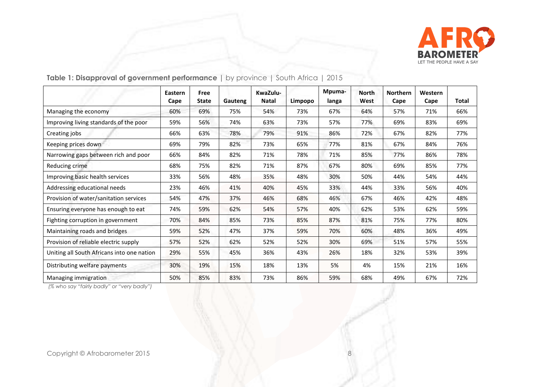

|                                            | Eastern<br>Cape | Free<br><b>State</b> | Gauteng | KwaZulu-<br><b>Natal</b> | Limpopo | Mpuma-<br>langa | <b>North</b><br>West | <b>Northern</b><br>Cape | Western<br>Cape | Total |
|--------------------------------------------|-----------------|----------------------|---------|--------------------------|---------|-----------------|----------------------|-------------------------|-----------------|-------|
| Managing the economy                       | 60%             | 69%                  | 75%     | 54%                      | 73%     | 67%             | 64%                  | 57%                     | 71%             | 66%   |
| Improving living standards of the poor     | 59%             | 56%                  | 74%     | 63%                      | 73%     | 57%             | 77%                  | 69%                     | 83%             | 69%   |
| Creating jobs                              | 66%             | 63%                  | 78%     | 79%                      | 91%     | 86%             | 72%                  | 67%                     | 82%             | 77%   |
| Keeping prices down                        | 69%             | 79%                  | 82%     | 73%                      | 65%     | 77%             | 81%                  | 67%                     | 84%             | 76%   |
| Narrowing gaps between rich and poor       | 66%             | 84%                  | 82%     | 71%                      | 78%     | 71%             | 85%                  | 77%                     | 86%             | 78%   |
| Reducing crime                             | 68%             | 75%                  | 82%     | 71%                      | 87%     | 67%             | 80%                  | 69%                     | 85%             | 77%   |
| Improving basic health services            | 33%             | 56%                  | 48%     | 35%                      | 48%     | 30%             | 50%                  | 44%                     | 54%             | 44%   |
| Addressing educational needs               | 23%             | 46%                  | 41%     | 40%                      | 45%     | 33%             | 44%                  | 33%                     | 56%             | 40%   |
| Provision of water/sanitation services     | 54%             | 47%                  | 37%     | 46%                      | 68%     | 46%             | 67%                  | 46%                     | 42%             | 48%   |
| Ensuring everyone has enough to eat        | 74%             | 59%                  | 62%     | 54%                      | 57%     | 40%             | 62%                  | 53%                     | 62%             | 59%   |
| Fighting corruption in government          | 70%             | 84%                  | 85%     | 73%                      | 85%     | 87%             | 81%                  | 75%                     | 77%             | 80%   |
| Maintaining roads and bridges              | 59%             | 52%                  | 47%     | 37%                      | 59%     | 70%             | 60%                  | 48%                     | 36%             | 49%   |
| Provision of reliable electric supply      | 57%             | 52%                  | 62%     | 52%                      | 52%     | 30%             | 69%                  | 51%                     | 57%             | 55%   |
| Uniting all South Africans into one nation | 29%             | 55%                  | 45%     | 36%                      | 43%     | 26%             | 18%                  | 32%                     | 53%             | 39%   |
| Distributing welfare payments              | 30%             | 19%                  | 15%     | 18%                      | 13%     | 5%              | 4%                   | 15%                     | 21%             | 16%   |
| Managing immigration                       | 50%             | 85%                  | 83%     | 73%                      | 86%     | 59%             | 68%                  | 49%                     | 67%             | 72%   |

**Table 1: Disapproval of government performance |** by province | South Africa | 2015

*(% who say "fairly badly" or "very badly")*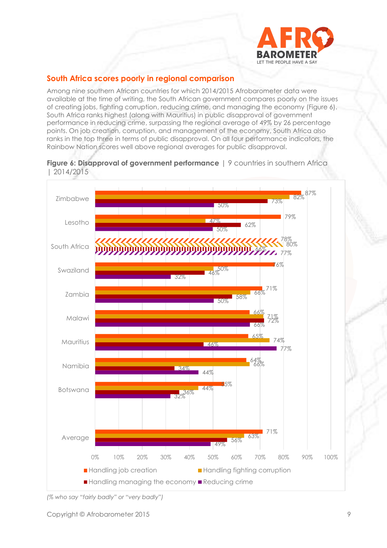

# **South Africa scores poorly in regional comparison**

Among nine southern African countries for which 2014/2015 Afrobarometer data were available at the time of writing, the South African government compares poorly on the issues of creating jobs, fighting corruption, reducing crime, and managing the economy (Figure 6). South Africa ranks highest (along with Mauritius) in public disapproval of government performance in reducing crime, surpassing the regional average of 49% by 26 percentage points. On job creation, corruption, and management of the economy, South Africa also ranks in the top three in terms of public disapproval. On all four performance indicators, the Rainbow Nation scores well above regional averages for public disapproval.





*(% who say "fairly badly" or "very badly")*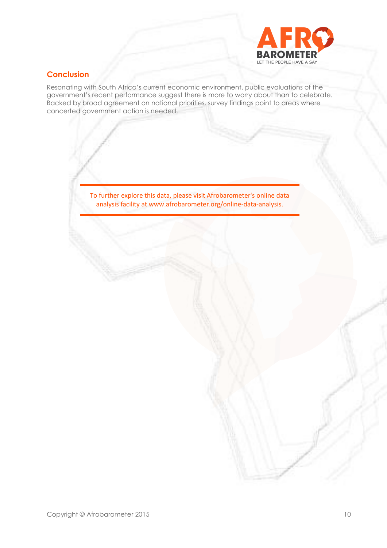

# **Conclusion**

Resonating with South Africa's current economic environment, public evaluations of the government's recent performance suggest there is more to worry about than to celebrate. Backed by broad agreement on national priorities, survey findings point to areas where concerted government action is needed.

> To further explore this data, please visit Afrobarometer's online data analysis facility at www.afrobarometer.org/online-data-analysis.